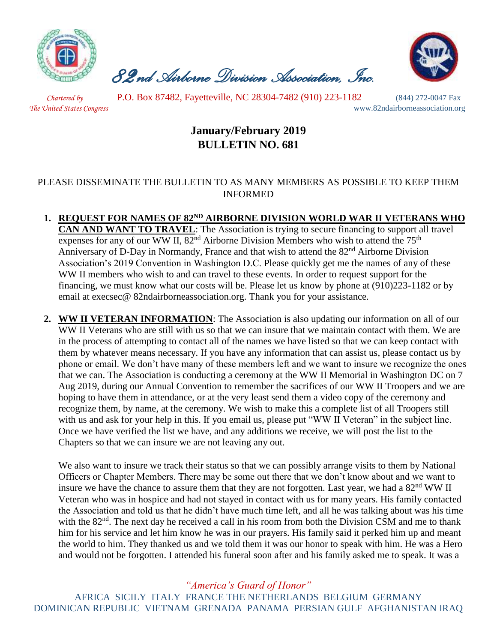

 *82nd Airborne Division Association, Inc.* 



 *Chartered by* P.O. Box 87482, Fayetteville, NC 28304-7482 (910) 223-1182 (844) 272-0047 Fax *The United States Congress* www.82ndairborneassociation.org

## **January/February 2019 BULLETIN NO. 681**

## PLEASE DISSEMINATE THE BULLETIN TO AS MANY MEMBERS AS POSSIBLE TO KEEP THEM INFORMED

- **1. REQUEST FOR NAMES OF 82ND AIRBORNE DIVISION WORLD WAR II VETERANS WHO CAN AND WANT TO TRAVEL**: The Association is trying to secure financing to support all travel expenses for any of our WW II,  $82<sup>nd</sup>$  Airborne Division Members who wish to attend the  $75<sup>th</sup>$ Anniversary of D-Day in Normandy, France and that wish to attend the  $82<sup>nd</sup>$  Airborne Division Association's 2019 Convention in Washington D.C. Please quickly get me the names of any of these WW II members who wish to and can travel to these events. In order to request support for the financing, we must know what our costs will be. Please let us know by phone at (910)223-1182 or by email at execsec@ 82ndairborneassociation.org. Thank you for your assistance.
- **2. WW II VETERAN INFORMATION**: The Association is also updating our information on all of our WW II Veterans who are still with us so that we can insure that we maintain contact with them. We are in the process of attempting to contact all of the names we have listed so that we can keep contact with them by whatever means necessary. If you have any information that can assist us, please contact us by phone or email. We don't have many of these members left and we want to insure we recognize the ones that we can. The Association is conducting a ceremony at the WW II Memorial in Washington DC on 7 Aug 2019, during our Annual Convention to remember the sacrifices of our WW II Troopers and we are hoping to have them in attendance, or at the very least send them a video copy of the ceremony and recognize them, by name, at the ceremony. We wish to make this a complete list of all Troopers still with us and ask for your help in this. If you email us, please put "WW II Veteran" in the subject line. Once we have verified the list we have, and any additions we receive, we will post the list to the Chapters so that we can insure we are not leaving any out.

We also want to insure we track their status so that we can possibly arrange visits to them by National Officers or Chapter Members. There may be some out there that we don't know about and we want to insure we have the chance to assure them that they are not forgotten. Last year, we had a 82<sup>nd</sup> WW II Veteran who was in hospice and had not stayed in contact with us for many years. His family contacted the Association and told us that he didn't have much time left, and all he was talking about was his time with the 82<sup>nd</sup>. The next day he received a call in his room from both the Division CSM and me to thank him for his service and let him know he was in our prayers. His family said it perked him up and meant the world to him. They thanked us and we told them it was our honor to speak with him. He was a Hero and would not be forgotten. I attended his funeral soon after and his family asked me to speak. It was a

*"America's Guard of Honor"*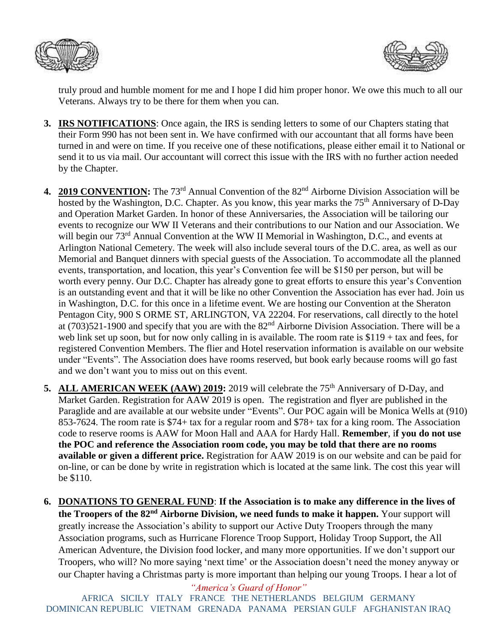



truly proud and humble moment for me and I hope I did him proper honor. We owe this much to all our Veterans. Always try to be there for them when you can.

- **3. IRS NOTIFICATIONS**: Once again, the IRS is sending letters to some of our Chapters stating that their Form 990 has not been sent in. We have confirmed with our accountant that all forms have been turned in and were on time. If you receive one of these notifications, please either email it to National or send it to us via mail. Our accountant will correct this issue with the IRS with no further action needed by the Chapter.
- **4. 2019 CONVENTION:** The 73rd Annual Convention of the 82nd Airborne Division Association will be hosted by the Washington, D.C. Chapter. As you know, this year marks the 75<sup>th</sup> Anniversary of D-Day and Operation Market Garden. In honor of these Anniversaries, the Association will be tailoring our events to recognize our WW II Veterans and their contributions to our Nation and our Association. We will begin our  $73<sup>rd</sup>$  Annual Convention at the WW II Memorial in Washington, D.C., and events at Arlington National Cemetery. The week will also include several tours of the D.C. area, as well as our Memorial and Banquet dinners with special guests of the Association. To accommodate all the planned events, transportation, and location, this year's Convention fee will be \$150 per person, but will be worth every penny. Our D.C. Chapter has already gone to great efforts to ensure this year's Convention is an outstanding event and that it will be like no other Convention the Association has ever had. Join us in Washington, D.C. for this once in a lifetime event. We are hosting our Convention at the Sheraton Pentagon City, 900 S ORME ST, ARLINGTON, VA 22204. For reservations, call directly to the hotel at (703)521-1900 and specify that you are with the 82nd Airborne Division Association. There will be a web link set up soon, but for now only calling in is available. The room rate is \$119 + tax and fees, for registered Convention Members. The flier and Hotel reservation information is available on our website under "Events". The Association does have rooms reserved, but book early because rooms will go fast and we don't want you to miss out on this event.
- **5. ALL AMERICAN WEEK (AAW) 2019:** 2019 will celebrate the 75<sup>th</sup> Anniversary of D-Day, and Market Garden. Registration for AAW 2019 is open. The registration and flyer are published in the Paraglide and are available at our website under "Events". Our POC again will be Monica Wells at (910) 853-7624. The room rate is \$74+ tax for a regular room and \$78+ tax for a king room. The Association code to reserve rooms is AAW for Moon Hall and AAA for Hardy Hall. **Remember**, i**f you do not use the POC and reference the Association room code, you may be told that there are no rooms available or given a different price.** Registration for AAW 2019 is on our website and can be paid for on-line, or can be done by write in registration which is located at the same link. The cost this year will be \$110.
- **6. DONATIONS TO GENERAL FUND**: **If the Association is to make any difference in the lives of the Troopers of the 82nd Airborne Division, we need funds to make it happen.** Your support will greatly increase the Association's ability to support our Active Duty Troopers through the many Association programs, such as Hurricane Florence Troop Support, Holiday Troop Support, the All American Adventure, the Division food locker, and many more opportunities. If we don't support our Troopers, who will? No more saying 'next time' or the Association doesn't need the money anyway or our Chapter having a Christmas party is more important than helping our young Troops. I hear a lot of

*"America's Guard of Honor"*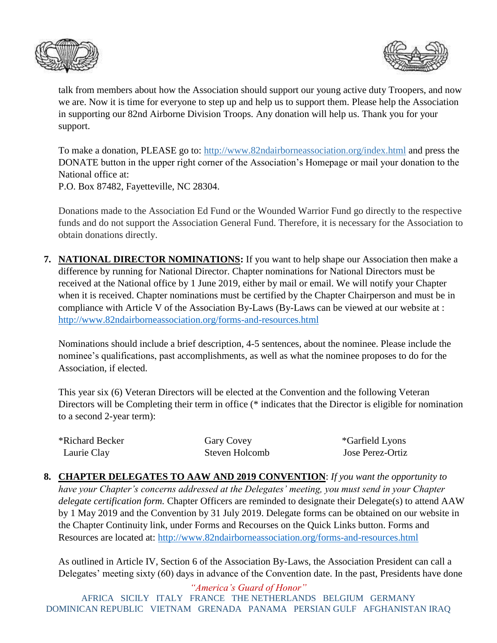



talk from members about how the Association should support our young active duty Troopers, and now we are. Now it is time for everyone to step up and help us to support them. Please help the Association in supporting our 82nd Airborne Division Troops. Any donation will help us. Thank you for your support.

To make a donation, PLEASE go to:<http://www.82ndairborneassociation.org/index.html> and press the DONATE button in the upper right corner of the Association's Homepage or mail your donation to the National office at:

P.O. Box 87482, Fayetteville, NC 28304.

Donations made to the Association Ed Fund or the Wounded Warrior Fund go directly to the respective funds and do not support the Association General Fund. Therefore, it is necessary for the Association to obtain donations directly.

**7. NATIONAL DIRECTOR NOMINATIONS:** If you want to help shape our Association then make a difference by running for National Director. Chapter nominations for National Directors must be received at the National office by 1 June 2019, either by mail or email. We will notify your Chapter when it is received. Chapter nominations must be certified by the Chapter Chairperson and must be in compliance with Article V of the Association By-Laws (By-Laws can be viewed at our website at : <http://www.82ndairborneassociation.org/forms-and-resources.html>

Nominations should include a brief description, 4-5 sentences, about the nominee. Please include the nominee's qualifications, past accomplishments, as well as what the nominee proposes to do for the Association, if elected.

This year six (6) Veteran Directors will be elected at the Convention and the following Veteran Directors will be Completing their term in office (\* indicates that the Director is eligible for nomination to a second 2-year term):

| *Richard Becker | Gary Covey     | <i>*Garfield Lyons</i> |
|-----------------|----------------|------------------------|
| Laurie Clay     | Steven Holcomb | Jose Perez-Ortiz       |

**8. CHAPTER DELEGATES TO AAW AND 2019 CONVENTION**: *If you want the opportunity to have your Chapter's concerns addressed at the Delegates' meeting, you must send in your Chapter delegate certification form.* Chapter Officers are reminded to designate their Delegate(s) to attend AAW by 1 May 2019 and the Convention by 31 July 2019. Delegate forms can be obtained on our website in the Chapter Continuity link, under Forms and Recourses on the Quick Links button. Forms and Resources are located at:<http://www.82ndairborneassociation.org/forms-and-resources.html>

As outlined in Article IV, Section 6 of the Association By-Laws, the Association President can call a Delegates' meeting sixty (60) days in advance of the Convention date. In the past, Presidents have done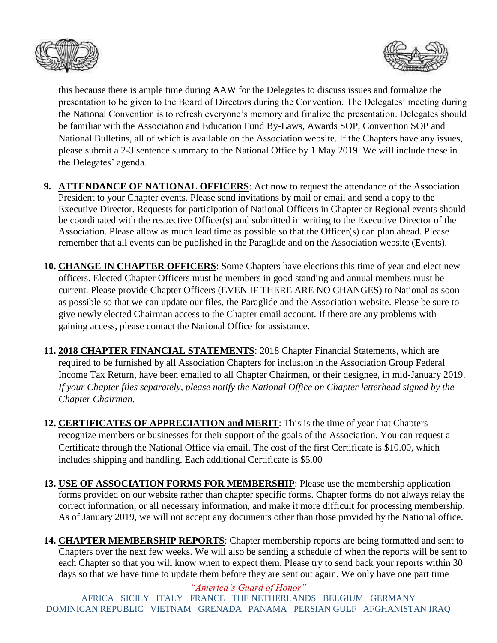



this because there is ample time during AAW for the Delegates to discuss issues and formalize the presentation to be given to the Board of Directors during the Convention. The Delegates' meeting during the National Convention is to refresh everyone's memory and finalize the presentation. Delegates should be familiar with the Association and Education Fund By-Laws, Awards SOP, Convention SOP and National Bulletins, all of which is available on the Association website. If the Chapters have any issues, please submit a 2-3 sentence summary to the National Office by 1 May 2019. We will include these in the Delegates' agenda.

- **9. ATTENDANCE OF NATIONAL OFFICERS**: Act now to request the attendance of the Association President to your Chapter events. Please send invitations by mail or email and send a copy to the Executive Director. Requests for participation of National Officers in Chapter or Regional events should be coordinated with the respective Officer(s) and submitted in writing to the Executive Director of the Association. Please allow as much lead time as possible so that the Officer(s) can plan ahead. Please remember that all events can be published in the Paraglide and on the Association website (Events).
- **10. CHANGE IN CHAPTER OFFICERS**: Some Chapters have elections this time of year and elect new officers. Elected Chapter Officers must be members in good standing and annual members must be current. Please provide Chapter Officers (EVEN IF THERE ARE NO CHANGES) to National as soon as possible so that we can update our files, the Paraglide and the Association website. Please be sure to give newly elected Chairman access to the Chapter email account. If there are any problems with gaining access, please contact the National Office for assistance.
- **11. 2018 CHAPTER FINANCIAL STATEMENTS**: 2018 Chapter Financial Statements, which are required to be furnished by all Association Chapters for inclusion in the Association Group Federal Income Tax Return, have been emailed to all Chapter Chairmen, or their designee, in mid-January 2019. *If your Chapter files separately, please notify the National Office on Chapter letterhead signed by the Chapter Chairman*.
- **12. CERTIFICATES OF APPRECIATION and MERIT**: This is the time of year that Chapters recognize members or businesses for their support of the goals of the Association. You can request a Certificate through the National Office via email. The cost of the first Certificate is \$10.00, which includes shipping and handling. Each additional Certificate is \$5.00
- **13. USE OF ASSOCIATION FORMS FOR MEMBERSHIP**: Please use the membership application forms provided on our website rather than chapter specific forms. Chapter forms do not always relay the correct information, or all necessary information, and make it more difficult for processing membership. As of January 2019, we will not accept any documents other than those provided by the National office.
- **14. CHAPTER MEMBERSHIP REPORTS**: Chapter membership reports are being formatted and sent to Chapters over the next few weeks. We will also be sending a schedule of when the reports will be sent to each Chapter so that you will know when to expect them. Please try to send back your reports within 30 days so that we have time to update them before they are sent out again. We only have one part time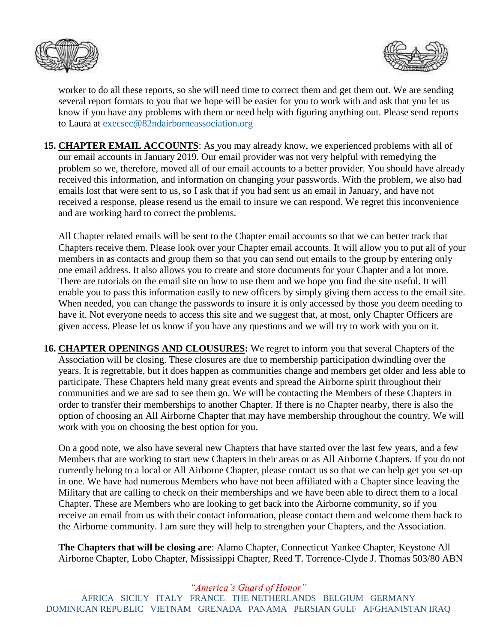



worker to do all these reports, so she will need time to correct them and get them out. We are sending several report formats to you that we hope will be easier for you to work with and ask that you let us know if you have any problems with them or need help with figuring anything out. Please send reports to Laura at [execsec@82ndairborneassociation.org](mailto:execsec@82ndairborneassociation.org)

**15. CHAPTER EMAIL ACCOUNTS**: As you may already know, we experienced problems with all of our email accounts in January 2019. Our email provider was not very helpful with remedying the problem so we, therefore, moved all of our email accounts to a better provider. You should have already received this information, and information on changing your passwords. With the problem, we also had emails lost that were sent to us, so I ask that if you had sent us an email in January, and have not received a response, please resend us the email to insure we can respond. We regret this inconvenience and are working hard to correct the problems.

All Chapter related emails will be sent to the Chapter email accounts so that we can better track that Chapters receive them. Please look over your Chapter email accounts. It will allow you to put all of your members in as contacts and group them so that you can send out emails to the group by entering only one email address. It also allows you to create and store documents for your Chapter and a lot more. There are tutorials on the email site on how to use them and we hope you find the site useful. It will enable you to pass this information easily to new officers by simply giving them access to the email site. When needed, you can change the passwords to insure it is only accessed by those you deem needing to have it. Not everyone needs to access this site and we suggest that, at most, only Chapter Officers are given access. Please let us know if you have any questions and we will try to work with you on it.

**16. CHAPTER OPENINGS AND CLOUSURES:** We regret to inform you that several Chapters of the Association will be closing. These closures are due to membership participation dwindling over the years. It is regrettable, but it does happen as communities change and members get older and less able to participate. These Chapters held many great events and spread the Airborne spirit throughout their communities and we are sad to see them go. We will be contacting the Members of these Chapters in order to transfer their memberships to another Chapter. If there is no Chapter nearby, there is also the option of choosing an All Airborne Chapter that may have membership throughout the country. We will work with you on choosing the best option for you.

On a good note, we also have several new Chapters that have started over the last few years, and a few Members that are working to start new Chapters in their areas or as All Airborne Chapters. If you do not currently belong to a local or All Airborne Chapter, please contact us so that we can help get you set-up in one. We have had numerous Members who have not been affiliated with a Chapter since leaving the Military that are calling to check on their memberships and we have been able to direct them to a local Chapter. These are Members who are looking to get back into the Airborne community, so if you receive an email from us with their contact information, please contact them and welcome them back to the Airborne community. I am sure they will help to strengthen your Chapters, and the Association.

**The Chapters that will be closing are**: Alamo Chapter, Connecticut Yankee Chapter, Keystone All Airborne Chapter, Lobo Chapter, Mississippi Chapter, Reed T. Torrence-Clyde J. Thomas 503/80 ABN

*"America's Guard of Honor"*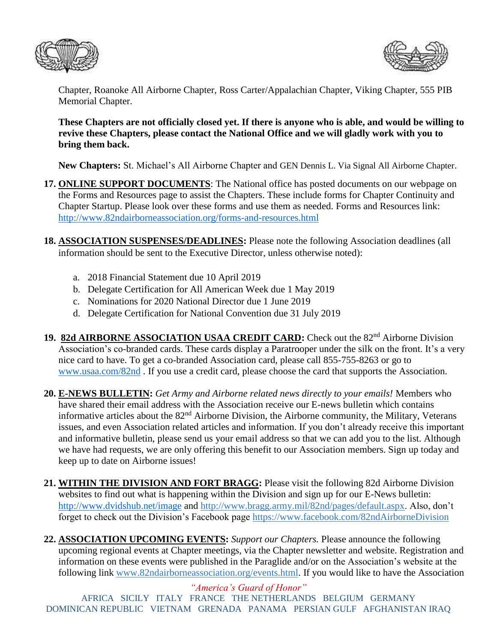



Chapter, Roanoke All Airborne Chapter, Ross Carter/Appalachian Chapter, Viking Chapter, 555 PIB Memorial Chapter.

## **These Chapters are not officially closed yet. If there is anyone who is able, and would be willing to revive these Chapters, please contact the National Office and we will gladly work with you to bring them back.**

**New Chapters:** St. Michael's All Airborne Chapter and GEN Dennis L. Via Signal All Airborne Chapter.

- **17. ONLINE SUPPORT DOCUMENTS**: The National office has posted documents on our webpage on the Forms and Resources page to assist the Chapters. These include forms for Chapter Continuity and Chapter Startup. Please look over these forms and use them as needed. Forms and Resources link: <http://www.82ndairborneassociation.org/forms-and-resources.html>
- **18. ASSOCIATION SUSPENSES/DEADLINES:** Please note the following Association deadlines (all information should be sent to the Executive Director, unless otherwise noted):
	- a. 2018 Financial Statement due 10 April 2019
	- b. Delegate Certification for All American Week due 1 May 2019
	- c. Nominations for 2020 National Director due 1 June 2019
	- d. Delegate Certification for National Convention due 31 July 2019
- 19. 82d AIRBORNE ASSOCIATION USAA CREDIT CARD: Check out the 82<sup>nd</sup> Airborne Division Association's co-branded cards. These cards display a Paratrooper under the silk on the front. It's a very nice card to have. To get a co-branded Association card, please call 855-755-8263 or go to [www.usaa.com/82nd](http://www.usaa.com/82nd) . If you use a credit card, please choose the card that supports the Association.
- **20. E-NEWS BULLETIN:** *Get Army and Airborne related news directly to your emails!* Members who have shared their email address with the Association receive our E-news bulletin which contains informative articles about the 82nd Airborne Division, the Airborne community, the Military, Veterans issues, and even Association related articles and information. If you don't already receive this important and informative bulletin, please send us your email address so that we can add you to the list. Although we have had requests, we are only offering this benefit to our Association members. Sign up today and keep up to date on Airborne issues!
- **21. WITHIN THE DIVISION AND FORT BRAGG:** Please visit the following 82d Airborne Division websites to find out what is happening within the Division and sign up for our E-News bulletin: <http://www.dvidshub.net/image> and [http://www.bragg.army.mil/82nd/pages/default.aspx.](http://www.bragg.army.mil/82ND/Pages/default.aspx) Also, don't forget to check out the Division's Facebook page<https://www.facebook.com/82ndAirborneDivision>
- **22. ASSOCIATION UPCOMING EVENTS:** *Support our Chapters.* Please announce the following upcoming regional events at Chapter meetings, via the Chapter newsletter and website. Registration and information on these events were published in the Paraglide and/or on the Association's website at the following link [www.82ndairborneassociation.org/events.html.](http://www.82ndairborneassociation.org/events.html) If you would like to have the Association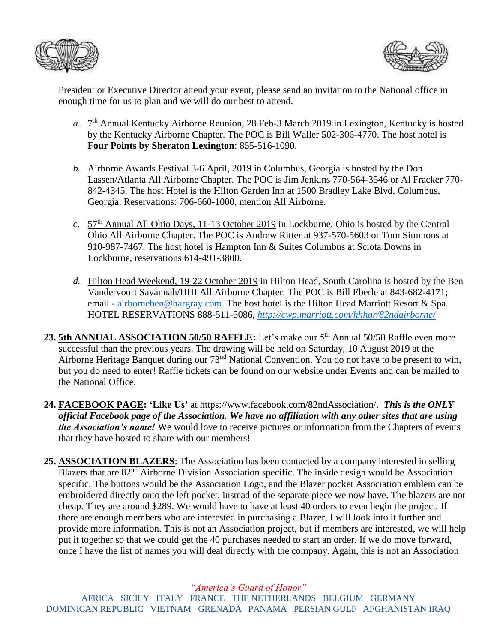



President or Executive Director attend your event, please send an invitation to the National office in enough time for us to plan and we will do our best to attend.

- a. 7<sup>th</sup> Annual Kentucky Airborne Reunion, 28 Feb-3 March 2019 in Lexington, Kentucky is hosted by the Kentucky Airborne Chapter. The POC is Bill Waller 502-306-4770. The host hotel is **Four Points by Sheraton Lexington**: 855-516-1090.
- *b.* Airborne Awards Festival 3-6 April, 2019 in Columbus, Georgia is hosted by the Don Lassen/Atlanta All Airborne Chapter. The POC is Jim Jenkins 770-564-3546 or Al Fracker 770- 842-4345. The host Hotel is the Hilton Garden Inn at 1500 Bradley Lake Blvd, Columbus, Georgia. Reservations: 706-660-1000, mention All Airborne.
- *c.* 57th Annual All Ohio Days, 11-13 October 2019 in Lockburne, Ohio is hosted by the Central Ohio All Airborne Chapter. The POC is Andrew Ritter at 937-570-5603 or Tom Simmons at 910-987-7467. The host hotel is Hampton Inn & Suites Columbus at Sciota Downs in Lockburne, reservations 614-491-3800.
- *d.* Hilton Head Weekend, 19-22 October 2019 in Hilton Head, South Carolina is hosted by the Ben Vandervoort Savannah/HHI All Airborne Chapter. The POC is Bill Eberle at 843-682-4171; email - [airborneben@hargray.com.](mailto:airborneben@hargray.com) The host hotel is the Hilton Head Marriott Resort & Spa. HOTEL RESERVATIONS 888-511-5086, *<http://cwp.marriott.com/hhhgr/82ndairborne/>*
- 23. **5th ANNUAL ASSOCIATION 50/50 RAFFLE:** Let's make our 5<sup>th</sup> Annual 50/50 Raffle even more successful than the previous years. The drawing will be held on Saturday, 10 August 2019 at the Airborne Heritage Banquet during our 73<sup>nd</sup> National Convention. You do not have to be present to win, but you do need to enter! Raffle tickets can be found on our website under Events and can be mailed to the National Office.
- **24. FACEBOOK PAGE: 'Like Us'** at https://www.facebook.com/82ndAssociation/. *This is the ONLY official Facebook page of the Association. We have no affiliation with any other sites that are using the Association's name!* We would love to receive pictures or information from the Chapters of events that they have hosted to share with our members!
- **25. ASSOCIATION BLAZERS**: The Association has been contacted by a company interested in selling Blazers that are 82<sup>nd</sup> Airborne Division Association specific. The inside design would be Association specific. The buttons would be the Association Logo, and the Blazer pocket Association emblem can be embroidered directly onto the left pocket, instead of the separate piece we now have. The blazers are not cheap. They are around \$289. We would have to have at least 40 orders to even begin the project. If there are enough members who are interested in purchasing a Blazer, I will look into it further and provide more information. This is not an Association project, but if members are interested, we will help put it together so that we could get the 40 purchases needed to start an order. If we do move forward, once I have the list of names you will deal directly with the company. Again, this is not an Association

*"America's Guard of Honor"*